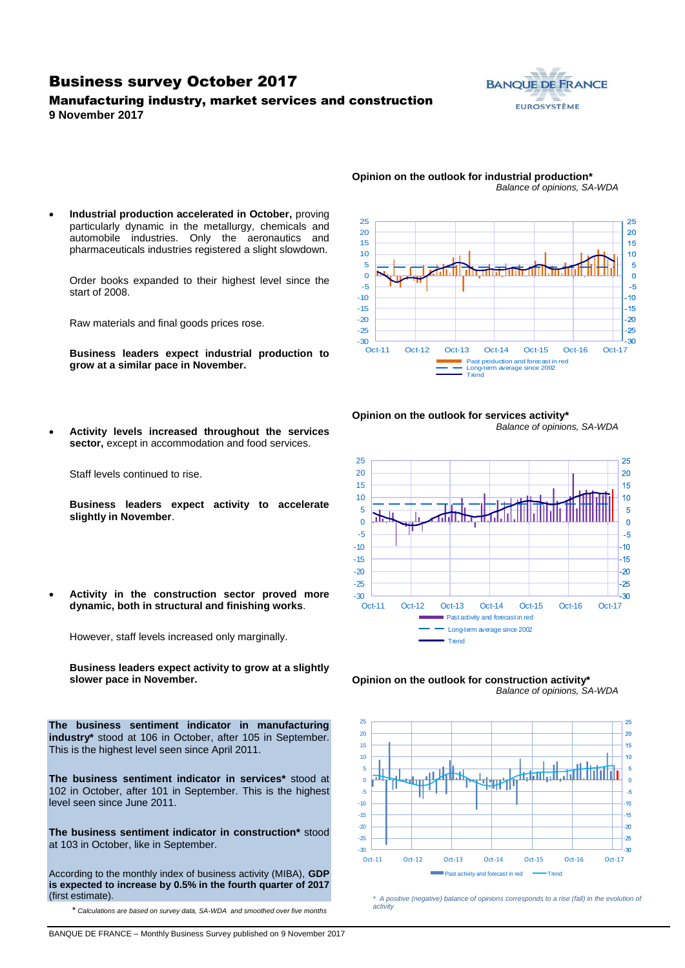### Business survey October 2017

### Manufacturing industry, market services and construction **9 November 2017**



- 25 25 20 20 15 15 10  $10$ 5  $\overline{5}$  $\Omega$  $\Omega$ -5  $-5$ -10  $10<sup>10</sup>$ -15  $-15$ -20  $-20$  $-25$ -25  $-30$   $-30$ -30 Oct-11 Oct-12 Oct-13 Oct-14 Oct-15 Oct-16 Oct-17 Past production and forecast in red Long-term average since 2002 Trend
- **Opinion on the outlook for industrial production\*** *Balance of opinions, SA-WDA*
- **Industrial production accelerated in October,** proving particularly dynamic in the metallurgy, chemicals and automobile industries. Only the aeronautics and pharmaceuticals industries registered a slight slowdown.

Order books expanded to their highest level since the start of 2008.

Raw materials and final goods prices rose.

**Business leaders expect industrial production to grow at a similar pace in November.**

**Opinion on the outlook for services activity\*** *Balance of opinions, SA-WDA*



 **Activity levels increased throughout the services sector,** except in accommodation and food services.

Staff levels continued to rise.

**Business leaders expect activity to accelerate slightly in November**.

 **Activity in the construction sector proved more dynamic, both in structural and finishing works**.

However, staff levels increased only marginally.

**Business leaders expect activity to grow at a slightly slower pace in November.**

**The business sentiment indicator in manufacturing industry\*** stood at 106 in October, after 105 in September. This is the highest level seen since April 2011.

**The business sentiment indicator in services\*** stood at 102 in October, after 101 in September. This is the highest level seen since June 2011.

**The business sentiment indicator in construction\*** stood at 103 in October, like in September.

According to the monthly index of business activity (MIBA), **GDP is expected to increase by 0.5% in the fourth quarter of 2017** (first estimate).

\* *Calculations are based on survey data, SA-WDA and smoothed over five months*





*\* A positive (negative) balance of opinions corresponds to a rise (fall) in the evolution of activity*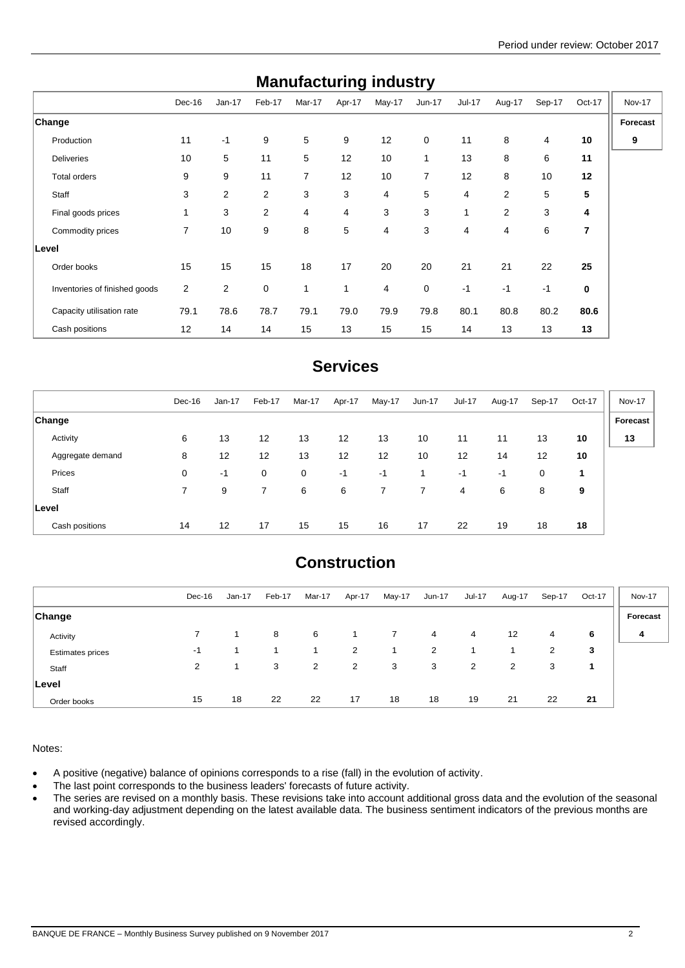| <b>Manufacturing muustry</b>  |        |                |                |        |              |        |                |               |                |                |                |          |
|-------------------------------|--------|----------------|----------------|--------|--------------|--------|----------------|---------------|----------------|----------------|----------------|----------|
|                               | Dec-16 | $Jan-17$       | Feb-17         | Mar-17 | Apr-17       | May-17 | $Jun-17$       | <b>Jul-17</b> | Aug-17         | Sep-17         | Oct-17         | Nov-17   |
| Change                        |        |                |                |        |              |        |                |               |                |                |                | Forecast |
| Production                    | 11     | $-1$           | 9              | 5      | 9            | 12     | $\mathbf 0$    | 11            | 8              | $\overline{4}$ | 10             | 9        |
| <b>Deliveries</b>             | 10     | 5              | 11             | 5      | 12           | 10     | 1              | 13            | 8              | 6              | 11             |          |
| Total orders                  | 9      | 9              | 11             | 7      | 12           | 10     | $\overline{7}$ | 12            | 8              | 10             | 12             |          |
| Staff                         | 3      | 2              | $\overline{2}$ | 3      | 3            | 4      | 5              | 4             | $\overline{2}$ | 5              | 5              |          |
| Final goods prices            | 1      | 3              | $\overline{2}$ | 4      | 4            | 3      | 3              | 1             | $\overline{2}$ | 3              | 4              |          |
| Commodity prices              | 7      | 10             | 9              | 8      | 5            | 4      | 3              | 4             | 4              | 6              | $\overline{7}$ |          |
| <b>Level</b>                  |        |                |                |        |              |        |                |               |                |                |                |          |
| Order books                   | 15     | 15             | 15             | 18     | 17           | 20     | 20             | 21            | 21             | 22             | 25             |          |
| Inventories of finished goods | 2      | $\overline{2}$ | $\mathbf 0$    | 1      | $\mathbf{1}$ | 4      | $\mathbf 0$    | $-1$          | $-1$           | $-1$           | 0              |          |
| Capacity utilisation rate     | 79.1   | 78.6           | 78.7           | 79.1   | 79.0         | 79.9   | 79.8           | 80.1          | 80.8           | 80.2           | 80.6           |          |
| Cash positions                | 12     | 14             | 14             | 15     | 13           | 15     | 15             | 14            | 13             | 13             | 13             |          |

## **Manufacturing industry**

### **Services**

|                  | Dec-16 | $Jan-17$          | Feb-17      | Mar-17 | Apr-17 | May-17 | Jun-17         | Jul-17 | Aug-17 | Sep-17 | Oct-17 | <b>Nov-17</b> |
|------------------|--------|-------------------|-------------|--------|--------|--------|----------------|--------|--------|--------|--------|---------------|
| <b>Change</b>    |        |                   |             |        |        |        |                |        |        |        |        | Forecast      |
| Activity         | 6      | 13                | 12          | 13     | 12     | 13     | 10             | 11     | 11     | 13     | 10     | 13            |
| Aggregate demand | 8      | $12 \overline{ }$ | 12          | 13     | 12     | 12     | 10             | 12     | 14     | 12     | 10     |               |
| Prices           | 0      | -1                | $\mathbf 0$ | 0      | -1     | $-1$   | 1              | -1     | -1     | 0      | 1      |               |
| Staff            | 7      | 9                 | 7           | 6      | 6      | 7      | $\overline{7}$ | 4      | 6      | 8      | 9      |               |
| ∣Level           |        |                   |             |        |        |        |                |        |        |        |        |               |
| Cash positions   | 14     | 12                | 17          | 15     | 15     | 16     | 17             | 22     | 19     | 18     | 18     |               |

## **Construction**

|                         | Dec-16 | $Jan-17$ | Feb-17 | Mar-17 | Apr-17         | May-17 | Jun-17 | <b>Jul-17</b> | Aug-17 | Sep-17 | Oct-17 | <b>Nov-17</b> |
|-------------------------|--------|----------|--------|--------|----------------|--------|--------|---------------|--------|--------|--------|---------------|
| <b>Change</b>           |        |          |        |        |                |        |        |               |        |        |        | Forecast      |
| Activity                |        |          | 8      | 6      |                |        | 4      | 4             | 12     | 4      | 6      | 4             |
| <b>Estimates prices</b> | -1     |          |        |        | $\overline{2}$ |        | 2      |               |        | 2      | 3      |               |
| Staff                   | 2      | 1.       | 3      | 2      | 2              | 3      | 3      | 2             | 2      | 3      |        |               |
| Level                   |        |          |        |        |                |        |        |               |        |        |        |               |
| Order books             | 15     | 18       | 22     | 22     | 17             | 18     | 18     | 19            | 21     | 22     | 21     |               |

Notes:

A positive (negative) balance of opinions corresponds to a rise (fall) in the evolution of activity.

• The last point corresponds to the business leaders' forecasts of future activity.

• The series are revised on a monthly basis. These revisions take into account additional gross data and the evolution of the seasonal and working-day adjustment depending on the latest available data. The business sentiment indicators of the previous months are revised accordingly.